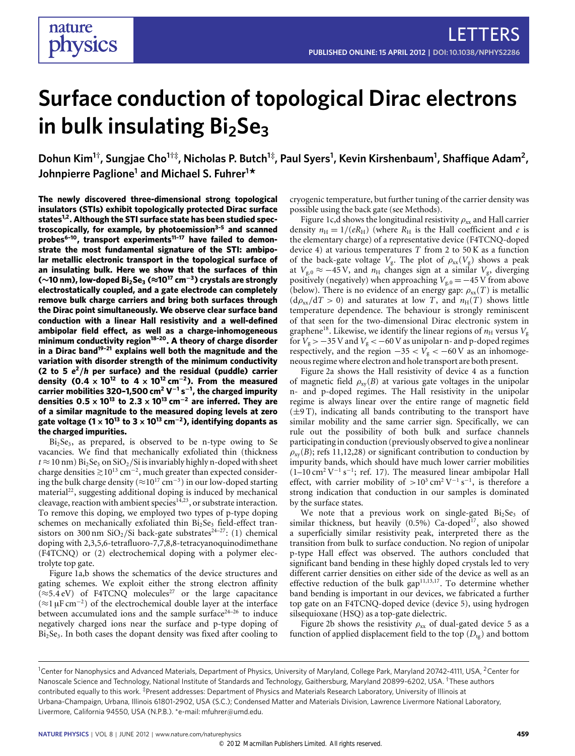# **Surface conduction of topological Dirac electrons in bulk insulating Bi2Se<sup>3</sup>**

**Dohun Kim<sup>1</sup>† , Sungjae Cho<sup>1</sup>†‡, Nicholas P. Butch<sup>1</sup>‡ , Paul Syers<sup>1</sup> , Kevin Kirshenbaum<sup>1</sup> , Shaffique Adam<sup>2</sup> , Johnpierre Paglione<sup>1</sup> and Michael S. Fuhrer<sup>1</sup> \***

**The newly discovered three-dimensional strong topological insulators (STIs) exhibit topologically protected Dirac surface states[1](#page-3-0)[,2](#page-3-1). Although the STI surface state has been studied spectroscopically, for example, by photoemission[3–](#page-3-2)[5](#page-3-3) and scanned probes[6](#page-3-4)[–10](#page-4-0), transport experiments[11–](#page-4-1)[17](#page-4-2) have failed to demonstrate the most fundamental signature of the STI: ambipolar metallic electronic transport in the topological surface of an insulating bulk. Here we show that the surfaces of thin (**∼**10 nm), low-doped Bi2Se<sup>3</sup> (**≈**10<sup>17</sup> cm**<sup>−</sup>**<sup>3</sup> ) crystals are strongly electrostatically coupled, and a gate electrode can completely remove bulk charge carriers and bring both surfaces through the Dirac point simultaneously. We observe clear surface band conduction with a linear Hall resistivity and a well-defined ambipolar field effect, as well as a charge-inhomogeneous minimum conductivity region[18](#page-4-3)[–20](#page-4-4). A theory of charge disorder in a Dirac band[19](#page-4-5)[–21](#page-4-6) explains well both the magnitude and the variation with disorder strength of the minimum conductivity (2 to 5** *e* **<sup>2</sup>**/*h* **per surface) and the residual (puddle) carrier density (0**.**4** × **10<sup>12</sup> to 4** × **10<sup>12</sup> cm**<sup>−</sup>**<sup>2</sup> ). From the measured carrier mobilities 320–1,500 cm<sup>2</sup> V** −**1 s** −**1 , the charged impurity densities 0**.**5** × **10<sup>13</sup> to 2**.**3** × **10<sup>13</sup> cm**<sup>−</sup>**<sup>2</sup> are inferred. They are of a similar magnitude to the measured doping levels at zero gate voltage (1**×**10<sup>13</sup> to 3**×**10<sup>13</sup> cm**<sup>−</sup>**<sup>2</sup> ), identifying dopants as the charged impurities.**

 $Bi<sub>2</sub>Se<sub>3</sub>$ , as prepared, is observed to be n-type owing to Se vacancies. We find that mechanically exfoliated thin (thickness  $t \approx 10$  nm) Bi<sub>2</sub>Se<sub>3</sub> on SiO<sub>2</sub>/Si is invariably highly n-doped with sheet charge densities  $≥10^{13}$  cm<sup>-2</sup>, much greater than expected considering the bulk charge density ( $\approx$ 10<sup>17</sup> cm<sup>-3</sup>) in our low-doped starting material<sup>[22](#page-4-7)</sup>, suggesting additional doping is induced by mechanical cleavage, reaction with ambient species $14,23$  $14,23$ , or substrate interaction. To remove this doping, we employed two types of p-type doping schemes on mechanically exfoliated thin  $Bi<sub>2</sub>Se<sub>3</sub>$  field-effect tran-sistors on 300 nm SiO<sub>2</sub>/Si back-gate substrates<sup>24-[27](#page-4-11)</sup>: (1) chemical doping with 2,3,5,6-tetrafluoro-7,7,8,8-tetracyanoquinodimethane (F4TCNQ) or (2) electrochemical doping with a polymer electrolyte top gate.

[Figure 1a](#page-1-0),b shows the schematics of the device structures and gating schemes. We exploit either the strong electron affinity  $(\approx 5.4 \text{ eV})$  of F4TCNQ molecules<sup>[27](#page-4-11)</sup> or the large capacitance (≈1 µF cm<sup>−</sup><sup>2</sup> ) of the electrochemical double layer at the interface between accumulated ions and the sample surface<sup>[24](#page-4-10)-26</sup> to induce negatively charged ions near the surface and p-type doping of  $Bi<sub>2</sub>Se<sub>3</sub>$ . In both cases the dopant density was fixed after cooling to

cryogenic temperature, but further tuning of the carrier density was possible using the back gate (see Methods).

[Figure 1c](#page-1-0),d shows the longitudinal resistivity  $\rho_{xx}$  and Hall carrier density  $n_{\rm H} = 1/(eR_{\rm H})$  (where  $R_{\rm H}$  is the Hall coefficient and *e* is the elementary charge) of a representative device (F4TCNQ-doped device 4) at various temperatures *T* from 2 to 50 K as a function of the back-gate voltage  $V_g$ . The plot of  $\rho_{xx}(V_g)$  shows a peak at  $V_{g,0} \approx -45 \text{ V}$ , and  $n_{\text{H}}$  changes sign at a similar  $V_g$ , diverging positively (negatively) when approaching  $V_{g,0} = -45$  V from above (below). There is no evidence of an energy gap:  $\rho_{xx}(T)$  is metallic  $(d\rho_{xx}/dT > 0)$  and saturates at low *T*, and  $n_H(T)$  shows little temperature dependence. The behaviour is strongly reminiscent of that seen for the two-dimensional Dirac electronic system in graphene<sup>[18](#page-4-3)</sup>. Likewise, we identify the linear regions of  $n_H$  versus  $V_g$ for  $V_g$  > −35 V and  $V_g$  < −60 V as unipolar n- and p-doped regimes respectively, and the region  $-35 < V_g < -60$  V as an inhomogeneous regime where electron and hole transport are both present.

[Figure 2a](#page-2-0) shows the Hall resistivity of device 4 as a function of magnetic field  $\rho_{xy}(B)$  at various gate voltages in the unipolar n- and p-doped regimes. The Hall resistivity in the unipolar regime is always linear over the entire range of magnetic field (±9 T), indicating all bands contributing to the transport have similar mobility and the same carrier sign. Specifically, we can rule out the possibility of both bulk and surface channels participating in conduction (previously observed to give a nonlinear  $\rho_{\rm xv}(B)$ ; refs [11](#page-4-1)[,12,](#page-4-13)[28\)](#page-4-14) or significant contribution to conduction by impurity bands, which should have much lower carrier mobilities  $(1-10 \text{ cm}^2 \text{ V}^{-1} \text{ s}^{-1})$ ; ref. [17\)](#page-4-2). The measured linear ambipolar Hall effect, with carrier mobility of  $> 10^3$  cm<sup>2</sup> V<sup>-1</sup> s<sup>-1</sup>, is therefore a strong indication that conduction in our samples is dominated by the surface states.

We note that a previous work on single-gated  $Bi<sub>2</sub>Se<sub>3</sub>$  of similar thickness, but heavily  $(0.5\%)$  Ca-doped<sup>[17](#page-4-2)</sup>, also showed a superficially similar resistivity peak, interpreted there as the transition from bulk to surface conduction. No region of unipolar p-type Hall effect was observed. The authors concluded that significant band bending in these highly doped crystals led to very different carrier densities on either side of the device as well as an effective reduction of the bulk gap $11,13,17$  $11,13,17$  $11,13,17$ . To determine whether band bending is important in our devices, we fabricated a further top gate on an F4TCNQ-doped device (device 5), using hydrogen silsequioxane (HSQ) as a top-gate dielectric.

[Figure 2b](#page-2-0) shows the resistivity  $\rho_{xx}$  of dual-gated device 5 as a function of applied displacement field to the top  $(D_{tg})$  and bottom

<sup>&</sup>lt;sup>1</sup>Center for Nanophysics and Advanced Materials, Department of Physics, University of Maryland, College Park, Maryland 20742-4111, USA, <sup>2</sup>Center for Nanoscale Science and Technology, National Institute of Standards and Technology, Gaithersburg, Maryland 20899-6202, USA. †These authors contributed equally to this work. ‡Present addresses: Department of Physics and Materials Research Laboratory, University of Illinois at Urbana-Champaign, Urbana, Illinois 61801-2902, USA (S.C.); Condensed Matter and Materials Division, Lawrence Livermore National Laboratory, Livermore, California 94550, USA (N.P.B.). \*e-mail: [mfuhrer@umd.edu.](mailto:mfuhrer@umd.edu)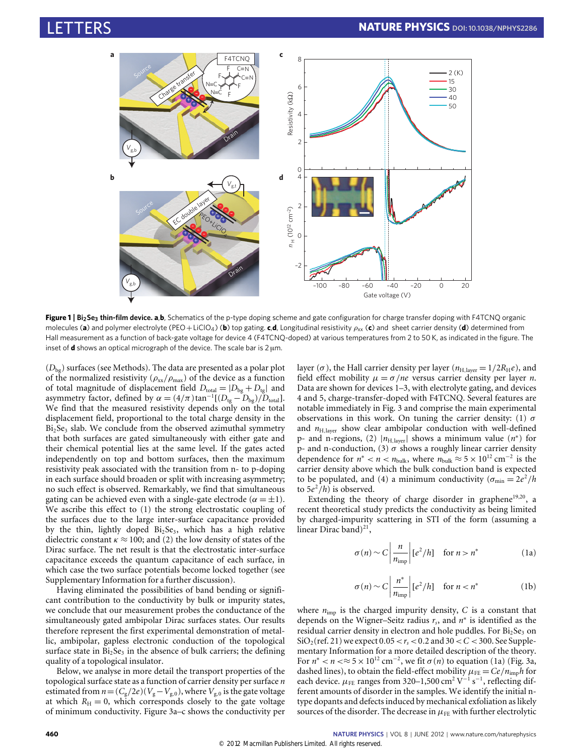

<span id="page-1-0"></span>**Figure 1** | **Bi2Se<sup>3</sup> thin-film device. a**,**b**, Schematics of the p-type doping scheme and gate configuration for charge transfer doping with F4TCNQ organic molecules (a) and polymer electrolyte (PEO+LiClO<sub>4</sub>) (b) top gating. c,d, Longitudinal resistivity ρ<sub>xx</sub> (c) and sheet carrier density (d) determined from Hall measurement as a function of back-gate voltage for device 4 (F4TCNQ-doped) at various temperatures from 2 to 50 K, as indicated in the figure. The inset of **d** shows an optical micrograph of the device. The scale bar is 2 µm.

(*D*bg) surfaces (see Methods). The data are presented as a polar plot of the normalized resistivity ( $\rho_{xx}/\rho_{max}$ ) of the device as a function of total magnitude of displacement field  $D_{\text{total}} = |D_{\text{bg}} + D_{\text{tg}}|$  and asymmetry factor, defined by  $\alpha = (4/\pi) \tan^{-1}[(D_{\text{tg}} - D_{\text{bg}})/D_{\text{total}}]$ . We find that the measured resistivity depends only on the total displacement field, proportional to the total charge density in the  $Bi<sub>2</sub>Se<sub>3</sub>$  slab. We conclude from the observed azimuthal symmetry that both surfaces are gated simultaneously with either gate and their chemical potential lies at the same level. If the gates acted independently on top and bottom surfaces, then the maximum resistivity peak associated with the transition from n- to p-doping in each surface should broaden or split with increasing asymmetry; no such effect is observed. Remarkably, we find that simultaneous gating can be achieved even with a single-gate electrode ( $\alpha = \pm 1$ ). We ascribe this effect to (1) the strong electrostatic coupling of the surfaces due to the large inter-surface capacitance provided by the thin, lightly doped  $Bi<sub>2</sub>Se<sub>3</sub>$ , which has a high relative dielectric constant  $\kappa \approx 100$ ; and (2) the low density of states of the Dirac surface. The net result is that the electrostatic inter-surface capacitance exceeds the quantum capacitance of each surface, in which case the two surface potentials become locked together (see Supplementary Information for a further discussion).

Having eliminated the possibilities of band bending or significant contribution to the conductivity by bulk or impurity states, we conclude that our measurement probes the conductance of the simultaneously gated ambipolar Dirac surfaces states. Our results therefore represent the first experimental demonstration of metallic, ambipolar, gapless electronic conduction of the topological surface state in  $Bi<sub>2</sub>Se<sub>3</sub>$  in the absence of bulk carriers; the defining quality of a topological insulator.

Below, we analyse in more detail the transport properties of the topological surface state as a function of carrier density per surface *n* estimated from  $n=(C_g/2e)(V_g-V_{g,0})$ , where  $V_{g,0}$  is the gate voltage at which  $R_{\text{H}} = 0$ , which corresponds closely to the gate voltage of minimum conductivity. [Figure 3a](#page-2-1)–c shows the conductivity per

layer ( $\sigma$ ), the Hall carrier density per layer ( $n_{\text{H,layer}} = 1/2R_{\text{H}}e$ ), and field effect mobility  $\mu = \sigma / ne$  versus carrier density per layer *n*. Data are shown for devices 1–3, with electrolyte gating, and devices 4 and 5, charge-transfer-doped with F4TCNQ. Several features are notable immediately in [Fig. 3](#page-2-1) and comprise the main experimental observations in this work. On tuning the carrier density: (1)  $\sigma$ and  $n_{\text{H,layer}}$  show clear ambipolar conduction with well-defined p- and n-regions, (2)  $|n_{\text{H,layer}}|$  shows a minimum value  $(n^*)$  for p- and n-conduction, (3)  $\sigma$  shows a roughly linear carrier density dependence for  $n^* < n < n_{\text{bulk}}$ , where  $n_{\text{bulk}} \approx 5 \times 10^{12} \text{ cm}^{-2}$  is the carrier density above which the bulk conduction band is expected to be populated, and (4) a minimum conductivity  $(\sigma_{\min} = 2e^2/h)$ to  $5e^2/h$ ) is observed.

Extending the theory of charge disorder in graphene $19,20$  $19,20$ , a recent theoretical study predicts the conductivity as being limited by charged-impurity scattering in STI of the form (assuming a linear Dirac band)<sup>[21](#page-4-6)</sup>,

<span id="page-1-1"></span>
$$
\sigma(n) \sim C \left| \frac{n}{n_{\text{imp}}} \right| \left[ e^2 / h \right] \quad \text{for } n > n^* \tag{1a}
$$

$$
\sigma(n) \sim C \left| \frac{n^*}{n_{\text{imp}}} \right| [e^2/h] \quad \text{for } n < n^* \tag{1b}
$$

<span id="page-1-2"></span>where  $n_{\text{imp}}$  is the charged impurity density,  $C$  is a constant that depends on the Wigner–Seitz radius *r<sup>s</sup>* , and *n* ∗ is identified as the residual carrier density in electron and hole puddles. For  $Bi<sub>2</sub>Se<sub>3</sub>$  on  $SiO_2$ (ref. [21\)](#page-4-6) we expect  $0.05 < r_s < 0.2$  and  $30 < C < 300$ . See Supplementary Information for a more detailed description of the theory. For  $n^* < n <$   $\approx$  5  $\times$  10<sup>12</sup> cm<sup>-2</sup>, we fit  $\sigma(n)$  to equation [\(1a\)](#page-1-1) [\(Fig. 3a](#page-2-1), dashed lines), to obtain the field-effect mobility  $\mu_{FE} = Ce/n_{\text{imp}}h$  for each device.  $\mu$ <sub>FE</sub> ranges from 320–1,500 cm<sup>2</sup> V<sup>-1</sup> s<sup>-1</sup>, reflecting different amounts of disorder in the samples. We identify the initial ntype dopants and defects induced by mechanical exfoliation as likely sources of the disorder. The decrease in  $\mu$ <sub>FE</sub> with further electrolytic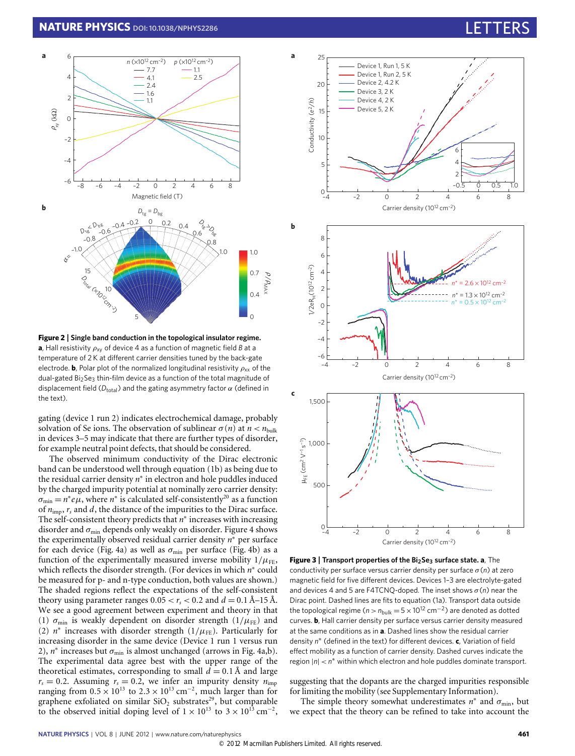

<span id="page-2-0"></span>**Figure 2** | **Single band conduction in the topological insulator regime. a**, Hall resistivity  $\rho_{xy}$  of device 4 as a function of magnetic field *B* at a temperature of 2 K at different carrier densities tuned by the back-gate electrode. **b**, Polar plot of the normalized longitudinal resistivity  $\rho_{xx}$  of the dual-gated Bi<sub>2</sub>Se<sub>3</sub> thin-film device as a function of the total magnitude of displacement field ( $D_{total}$ ) and the gating asymmetry factor  $\alpha$  (defined in the text).

gating (device 1 run 2) indicates electrochemical damage, probably solvation of Se ions. The observation of sublinear  $\sigma(n)$  at  $n < n_{\text{bulk}}$ in devices 3–5 may indicate that there are further types of disorder, for example neutral point defects, that should be considered.

The observed minimum conductivity of the Dirac electronic band can be understood well through equation [\(1b\)](#page-1-2) as being due to the residual carrier density *n* ∗ in electron and hole puddles induced by the charged impurity potential at nominally zero carrier density:  $\sigma_{\min} = n^* e \mu$ , where  $n^*$  is calculated self-consistently<sup>[20](#page-4-4)</sup> as a function of *n*imp, *r<sup>s</sup>* and *d*, the distance of the impurities to the Dirac surface. The self-consistent theory predicts that *n*<sup>\*</sup> increases with increasing disorder and  $\sigma_{\min}$  depends only weakly on disorder. [Figure 4](#page-3-5) shows the experimentally observed residual carrier density *n* <sup>∗</sup> per surface for each device [\(Fig. 4a](#page-3-5)) as well as  $\sigma_{\min}$  per surface [\(Fig. 4b](#page-3-5)) as a function of the experimentally measured inverse mobility  $1/\mu$ <sub>FE</sub>, which reflects the disorder strength. (For devices in which  $n^*$  could be measured for p- and n-type conduction, both values are shown.) The shaded regions reflect the expectations of the self-consistent theory using parameter ranges  $0.05 < r_s < 0.2$  and  $d = 0.1$  Å–15 Å. We see a good agreement between experiment and theory in that (1)  $\sigma_{\text{min}}$  is weakly dependent on disorder strength (1/ $\mu_{\text{FE}}$ ) and (2)  $n^*$  increases with disorder strength ( $1/\mu_{FE}$ ). Particularly for increasing disorder in the same device (Device 1 run 1 versus run 2),  $n^*$  increases but  $\sigma_{\min}$  is almost unchanged (arrows in [Fig. 4a](#page-3-5),b). The experimental data agree best with the upper range of the theoretical estimates, corresponding to small  $d = 0.1$  Å and large  $r_s = 0.2$ . Assuming  $r_s = 0.2$ , we infer an impurity density  $n_{\text{imp}}$ ranging from  $0.5 \times 10^{13}$  to  $2.3 \times 10^{13}$  cm<sup>-2</sup>, much larger than for graphene exfoliated on similar  $SiO<sub>2</sub>$  substrates<sup>[29](#page-4-16)</sup>, but comparable to the observed initial doping level of  $1 \times 10^{13}$  to  $3 \times 10^{13}$  cm<sup>-2</sup>,



<span id="page-2-1"></span>**Figure 3** | **Transport properties of the Bi2Se<sup>3</sup> surface state. a**, The conductivity per surface versus carrier density per surface σ(*n*) at zero magnetic field for five different devices. Devices 1–3 are electrolyte-gated and devices 4 and 5 are F4TCNQ-doped. The inset shows σ(*n*) near the Dirac point. Dashed lines are fits to equation [\(1a\).](#page-1-1) Transport data outside the topological regime ( $n > n_{\text{bulk}} = 5 \times 10^{12} \text{ cm}^{-2}$ ) are denoted as dotted curves. **b**, Hall carrier density per surface versus carrier density measured at the same conditions as in **a**. Dashed lines show the residual carrier density *n* ∗ (defined in the text) for different devices. **c**, Variation of field effect mobility as a function of carrier density. Dashed curves indicate the region |*n*| < *n*<sup>\*</sup> within which electron and hole puddles dominate transport.

suggesting that the dopants are the charged impurities responsible for limiting the mobility (see Supplementary Information).

The simple theory somewhat underestimates  $n^*$  and  $\sigma_{\min}$ , but we expect that the theory can be refined to take into account the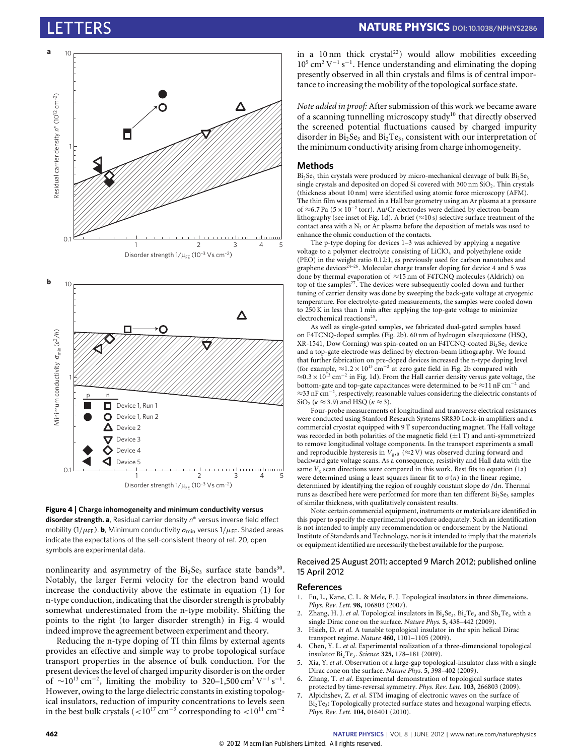



<span id="page-3-5"></span>

nonlinearity and asymmetry of the  $Bi<sub>2</sub>Se<sub>3</sub>$  surface state bands<sup>[30](#page-4-17)</sup>. Notably, the larger Fermi velocity for the electron band would increase the conductivity above the estimate in equation (1) for n-type conduction, indicating that the disorder strength is probably somewhat underestimated from the n-type mobility. Shifting the points to the right (to larger disorder strength) in [Fig. 4](#page-3-5) would indeed improve the agreement between experiment and theory.

Reducing the n-type doping of TI thin films by external agents provides an effective and simple way to probe topological surface transport properties in the absence of bulk conduction. For the present devices the level of charged impurity disorder is on the order of  $\sim 10^{13} \text{ cm}^{-2}$ , limiting the mobility to 320–1,500 cm<sup>2</sup> V<sup>-1</sup> s<sup>-1</sup>. However, owing to the large dielectric constants in existing topological insulators, reduction of impurity concentrations to levels seen in the best bulk crystals (<10<sup>17</sup> cm<sup>-3</sup> corresponding to <10<sup>11</sup> cm<sup>-2</sup>

in a 10 nm thick crystal<sup>[22](#page-4-7)</sup>) would allow mobilities exceeding  $10^5$  cm<sup>2</sup> V<sup>-1</sup> s<sup>-1</sup>. Hence understanding and eliminating the doping presently observed in all thin crystals and films is of central importance to increasing the mobility of the topological surface state.

*Note added in proof:* After submission of this work we became aware of a scanning tunnelling microscopy study<sup>[10](#page-4-0)</sup> that directly observed the screened potential fluctuations caused by charged impurity disorder in  $Bi<sub>2</sub>Se<sub>3</sub>$  and  $Bi<sub>2</sub>Te<sub>3</sub>$ , consistent with our interpretation of the minimum conductivity arising from charge inhomogeneity.

#### **Methods**

 $Bi<sub>2</sub>Se<sub>3</sub>$  thin crystals were produced by micro-mechanical cleavage of bulk  $Bi<sub>2</sub>Se<sub>3</sub>$ single crystals and deposited on doped Si covered with  $300 \text{ nm}$  SiO<sub>2</sub>. Thin crystals (thickness about 10 nm) were identified using atomic force microscopy (AFM). The thin film was patterned in a Hall bar geometry using an Ar plasma at a pressure of ≈6.7 Pa (5 × 10<sup>-2</sup> torr). Au/Cr electrodes were defined by electron-beam lithography (see inset of [Fig. 1d](#page-1-0)). A brief ( $\approx$ 10 s) selective surface treatment of the contact area with a  $N_2$  or Ar plasma before the deposition of metals was used to enhance the ohmic conduction of the contacts.

The p-type doping for devices 1–3 was achieved by applying a negative voltage to a polymer electrolyte consisting of LiClO<sub>4</sub> and polyethylene oxide (PEO) in the weight ratio 0.12:1, as previously used for carbon nanotubes and graphene devices<sup>24-[26](#page-4-12)</sup>. Molecular charge transfer doping for device 4 and 5 was done by thermal evaporation of ≈15 nm of F4TCNQ molecules (Aldrich) on top of the samples<sup>[27](#page-4-11)</sup>. The devices were subsequently cooled down and further tuning of carrier density was done by sweeping the back-gate voltage at cryogenic temperature. For electrolyte-gated measurements, the samples were cooled down to 250 K in less than 1 min after applying the top-gate voltage to minimize electrochemical reactions<sup>[25](#page-4-18)</sup>.

As well as single-gated samples, we fabricated dual-gated samples based on F4TCNQ-doped samples [\(Fig. 2b](#page-2-0)). 60 nm of hydrogen silsequioxane (HSQ, XR-1541, Dow Corning) was spin-coated on an F4TCNQ-coated Bi<sub>2</sub>Se<sub>3</sub> device and a top-gate electrode was defined by electron-beam lithography. We found that further fabrication on pre-doped devices increased the n-type doping level (for example,  $\approx$ 1.2 × 10<sup>13</sup> cm<sup>-2</sup> at zero gate field in [Fig. 2b](#page-2-0) compared with  $\approx$ 0.3 × 10<sup>13</sup> cm<sup>-2</sup> in [Fig. 1d](#page-1-0)). From the Hall carrier density versus gate voltage, the bottom-gate and top-gate capacitances were determined to be  $\approx$ 11 nF cm<sup>-2</sup> and ≈33 nF cm<sup>−</sup><sup>2</sup> , respectively; reasonable values considering the dielectric constants of SiO<sub>2</sub> ( $\kappa \approx 3.9$ ) and HSQ ( $\kappa \approx 3$ ).

Four-probe measurements of longitudinal and transverse electrical resistances were conducted using Stanford Research Systems SR830 Lock-in amplifiers and a commercial cryostat equipped with 9 T superconducting magnet. The Hall voltage was recorded in both polarities of the magnetic field  $(\pm 1$  T) and anti-symmetrized to remove longitudinal voltage components. In the transport experiments a small and reproducible hysteresis in  $V_{\rm g,0}~(\approx\!2\,\rm{V})$  was observed during forward and backward gate voltage scans. As a consequence, resistivity and Hall data with the same  $V_g$  scan directions were compared in this work. Best fits to equation [\(1a\)](#page-1-1) were determined using a least squares linear fit to  $\sigma(n)$  in the linear regime, determined by identifying the region of roughly constant slope dσ /d*n*. Thermal runs as described here were performed for more than ten different Bi<sub>2</sub>Se<sub>3</sub> samples of similar thickness, with qualitatively consistent results.

Note: certain commercial equipment, instruments or materials are identified in this paper to specify the experimental procedure adequately. Such an identification is not intended to imply any recommendation or endorsement by the National Institute of Standards and Technology, nor is it intended to imply that the materials or equipment identified are necessarily the best available for the purpose.

#### Received 25 August 2011; accepted 9 March 2012; published online 15 April 2012

### **References**

- <span id="page-3-0"></span>1. Fu, L., Kane, C. L. & Mele, E. J. Topological insulators in three dimensions. *Phys. Rev. Lett.* **98,** 106803 (2007).
- <span id="page-3-1"></span>2. Zhang, H. J. *et al.* Topological insulators in Bi<sub>2</sub>Se<sub>3</sub>, Bi<sub>2</sub>Te<sub>3</sub> and Sb<sub>2</sub>Te<sub>3</sub> with a single Dirac cone on the surface. *Nature Phys.* **5,** 438–442 (2009).
- <span id="page-3-2"></span>Hsieh, D. et al. A tunable topological insulator in the spin helical Dirac transport regime. *Nature* **460,** 1101–1105 (2009).
- 4. Chen, Y. L. *et al*. Experimental realization of a three-dimensional topological insulator Bi2Te3. *Science* **325,** 178–181 (2009).
- <span id="page-3-3"></span>5. Xia, Y. *et al*. Observation of a large-gap topological-insulator class with a single Dirac cone on the surface. *Nature Phys.* **5,** 398–402 (2009).
- <span id="page-3-4"></span>6. Zhang, T. *et al*. Experimental demonstration of topological surface states protected by time-reversal symmetry. *Phys. Rev. Lett.* **103,** 266803 (2009).
- 7. Alpichshev, Z. *et al*. STM imaging of electronic waves on the surface of Bi2Te3: Topologically protected surface states and hexagonal warping effects. *Phys. Rev. Lett.* **104,** 016401 (2010).